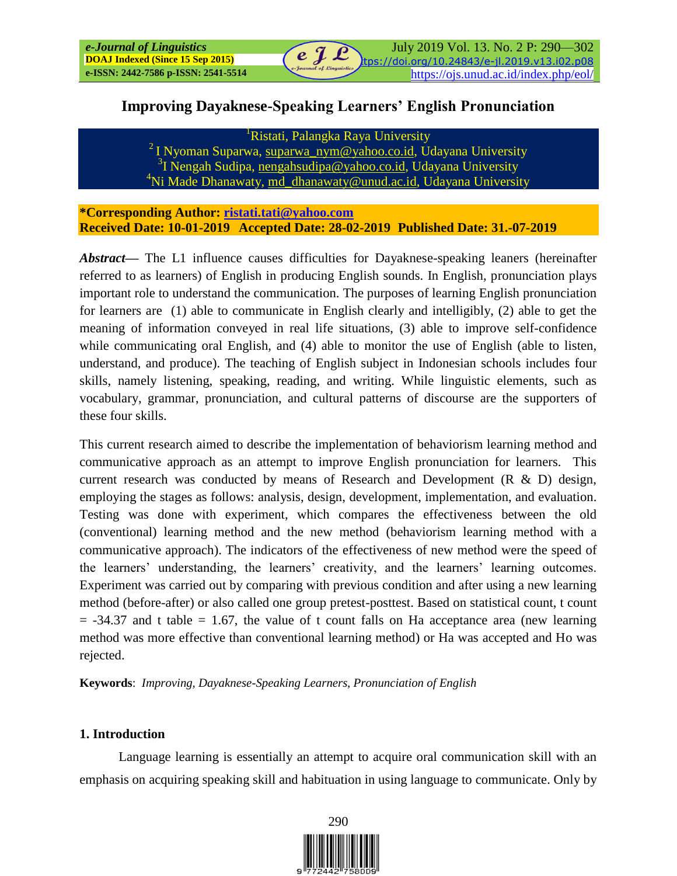## **Improving Dayaknese-Speaking Learners' English Pronunciation**

<sup>1</sup>Ristati, Palangka Raya University

<sup>2</sup> I Nyoman Suparwa, [suparwa\\_nym@yahoo.co.id,](mailto:suparwa_nym@yahoo.co.id) Udayana University <sup>3</sup>I Nengah Sudipa, [nengahsudipa@yahoo.co.id,](mailto:nengahsudipa@yahoo.co.id) Udayana University <sup>4</sup>Ni Made Dhanawaty, [md\\_dhanawaty@unud.ac.id,](mailto:md_dhanawaty@unud.ac.id) Udayana University

**\*Corresponding Author: [ristati.tati@yahoo.com](mailto:ristati.tati@yahoo.com) Received Date: 10-01-2019 Accepted Date: 28-02-2019 Published Date: 31.-07-2019**

*Abstract***—** The L1 influence causes difficulties for Dayaknese-speaking leaners (hereinafter referred to as learners) of English in producing English sounds. In English, pronunciation plays important role to understand the communication. The purposes of learning English pronunciation for learners are (1) able to communicate in English clearly and intelligibly, (2) able to get the meaning of information conveyed in real life situations, (3) able to improve self-confidence while communicating oral English, and (4) able to monitor the use of English (able to listen, understand, and produce). The teaching of English subject in Indonesian schools includes four skills, namely listening, speaking, reading, and writing. While linguistic elements, such as vocabulary, grammar, pronunciation, and cultural patterns of discourse are the supporters of these four skills.

This current research aimed to describe the implementation of behaviorism learning method and communicative approach as an attempt to improve English pronunciation for learners. This current research was conducted by means of Research and Development (R & D) design, employing the stages as follows: analysis, design, development, implementation, and evaluation. Testing was done with experiment, which compares the effectiveness between the old (conventional) learning method and the new method (behaviorism learning method with a communicative approach). The indicators of the effectiveness of new method were the speed of the learners' understanding, the learners' creativity, and the learners' learning outcomes. Experiment was carried out by comparing with previous condition and after using a new learning method (before-after) or also called one group pretest-posttest. Based on statistical count, t count  $=$  -34.37 and t table  $=$  1.67, the value of t count falls on Ha acceptance area (new learning method was more effective than conventional learning method) or Ha was accepted and Ho was rejected.

**Keywords**: *Improving, Dayaknese-Speaking Learners, Pronunciation of English*

## **1. Introduction**

Language learning is essentially an attempt to acquire oral communication skill with an emphasis on acquiring speaking skill and habituation in using language to communicate. Only by

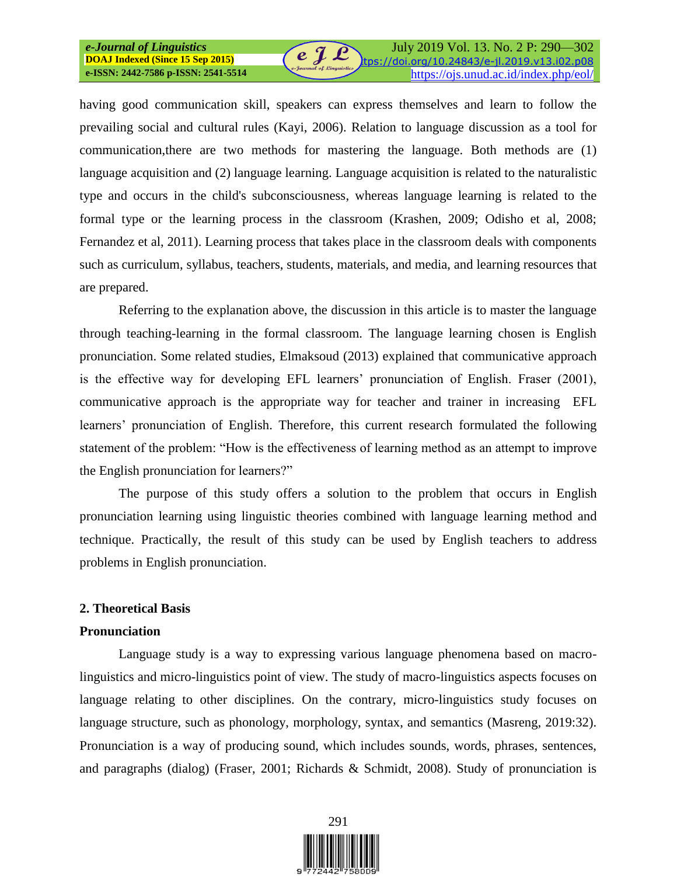# *e-Journal of Linguistics*  **DOAJ Indexed (Since 15 Sep 2015)**

July 2019 Vol. 13. No. 2 P: 290—302 https://doi.org/10.24843/e-jl.2019.v13.i02.p08 **e-Journal of Einguistics**<br>https://ojs.unud.ac.id/index.php/eol/

having good communication skill, speakers can express themselves and learn to follow the prevailing social and cultural rules (Kayi, 2006). Relation to language discussion as a tool for communication,there are two methods for mastering the language. Both methods are (1) language acquisition and (2) language learning. Language acquisition is related to the naturalistic type and occurs in the child's subconsciousness, whereas language learning is related to the formal type or the learning process in the classroom (Krashen, 2009; Odisho et al, 2008; Fernandez et al, 2011). Learning process that takes place in the classroom deals with components such as curriculum, syllabus, teachers, students, materials, and media, and learning resources that are prepared.

 $\bm{e} \bm{\mathcal{J}} \bm{\mathcal{L}}$ 

Referring to the explanation above, the discussion in this article is to master the language through teaching-learning in the formal classroom. The language learning chosen is English pronunciation. Some related studies, Elmaksoud (2013) explained that communicative approach is the effective way for developing EFL learners' pronunciation of English. Fraser (2001), communicative approach is the appropriate way for teacher and trainer in increasing EFL learners' pronunciation of English. Therefore, this current research formulated the following statement of the problem: "How is the effectiveness of learning method as an attempt to improve the English pronunciation for learners?"

The purpose of this study offers a solution to the problem that occurs in English pronunciation learning using linguistic theories combined with language learning method and technique. Practically, the result of this study can be used by English teachers to address problems in English pronunciation.

#### **2. Theoretical Basis**

#### **Pronunciation**

Language study is a way to expressing various language phenomena based on macrolinguistics and micro-linguistics point of view. The study of macro-linguistics aspects focuses on language relating to other disciplines. On the contrary, micro-linguistics study focuses on language structure, such as phonology, morphology, syntax, and semantics (Masreng, 2019:32). Pronunciation is a way of producing sound, which includes sounds, words, phrases, sentences, and paragraphs (dialog) (Fraser, 2001; Richards & Schmidt, 2008). Study of pronunciation is

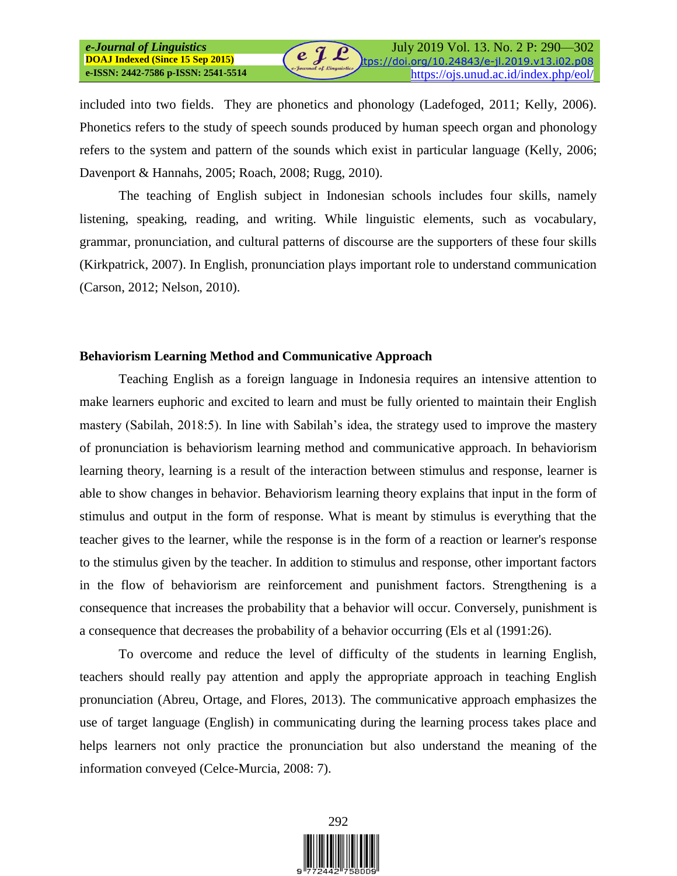included into two fields. They are phonetics and phonology (Ladefoged, 2011; Kelly, 2006). Phonetics refers to the study of speech sounds produced by human speech organ and phonology refers to the system and pattern of the sounds which exist in particular language (Kelly, 2006; Davenport & Hannahs, 2005; Roach, 2008; Rugg, 2010).

The teaching of English subject in Indonesian schools includes four skills, namely listening, speaking, reading, and writing. While linguistic elements, such as vocabulary, grammar, pronunciation, and cultural patterns of discourse are the supporters of these four skills (Kirkpatrick, 2007). In English, pronunciation plays important role to understand communication (Carson, 2012; Nelson, 2010).

#### **Behaviorism Learning Method and Communicative Approach**

Teaching English as a foreign language in Indonesia requires an intensive attention to make learners euphoric and excited to learn and must be fully oriented to maintain their English mastery (Sabilah, 2018:5). In line with Sabilah's idea, the strategy used to improve the mastery of pronunciation is behaviorism learning method and communicative approach. In behaviorism learning theory, learning is a result of the interaction between stimulus and response, learner is able to show changes in behavior. Behaviorism learning theory explains that input in the form of stimulus and output in the form of response. What is meant by stimulus is everything that the teacher gives to the learner, while the response is in the form of a reaction or learner's response to the stimulus given by the teacher. In addition to stimulus and response, other important factors in the flow of behaviorism are reinforcement and punishment factors. Strengthening is a consequence that increases the probability that a behavior will occur. Conversely, punishment is a consequence that decreases the probability of a behavior occurring (Els et al (1991:26).

To overcome and reduce the level of difficulty of the students in learning English, teachers should really pay attention and apply the appropriate approach in teaching English pronunciation (Abreu, Ortage, and Flores, 2013). The communicative approach emphasizes the use of target language (English) in communicating during the learning process takes place and helps learners not only practice the pronunciation but also understand the meaning of the information conveyed (Celce-Murcia, 2008: 7).

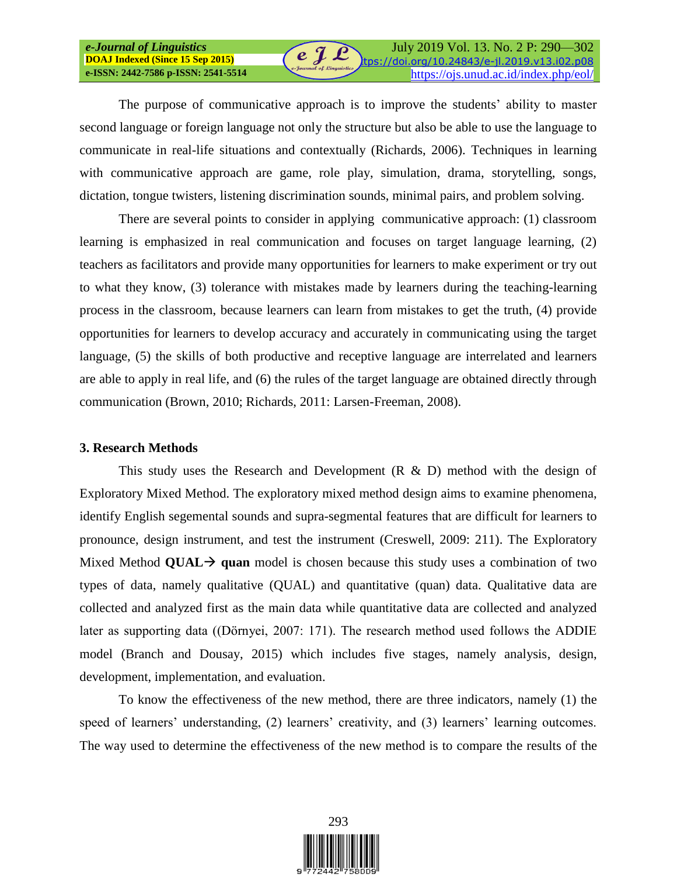The purpose of communicative approach is to improve the students' ability to master second language or foreign language not only the structure but also be able to use the language to communicate in real-life situations and contextually (Richards, 2006). Techniques in learning with communicative approach are game, role play, simulation, drama, storytelling, songs, dictation, tongue twisters, listening discrimination sounds, minimal pairs, and problem solving.

 $e \nightharpoondown e$ 

There are several points to consider in applying communicative approach: (1) classroom learning is emphasized in real communication and focuses on target language learning, (2) teachers as facilitators and provide many opportunities for learners to make experiment or try out to what they know, (3) tolerance with mistakes made by learners during the teaching-learning process in the classroom, because learners can learn from mistakes to get the truth, (4) provide opportunities for learners to develop accuracy and accurately in communicating using the target language, (5) the skills of both productive and receptive language are interrelated and learners are able to apply in real life, and (6) the rules of the target language are obtained directly through communication (Brown, 2010; Richards, 2011: Larsen-Freeman, 2008).

## **3. Research Methods**

*e-Journal of Linguistics*  **DOAJ Indexed (Since 15 Sep 2015)**

This study uses the Research and Development  $(R \& D)$  method with the design of Exploratory Mixed Method. The exploratory mixed method design aims to examine phenomena, identify English segemental sounds and supra-segmental features that are difficult for learners to pronounce, design instrument, and test the instrument (Creswell, 2009: 211). The Exploratory Mixed Method **QUAL**  $\rightarrow$  **quan** model is chosen because this study uses a combination of two types of data, namely qualitative (QUAL) and quantitative (quan) data. Qualitative data are collected and analyzed first as the main data while quantitative data are collected and analyzed later as supporting data ((Dörnyei, 2007: 171). The research method used follows the ADDIE model (Branch and Dousay, 2015) which includes five stages, namely analysis, design, development, implementation, and evaluation.

To know the effectiveness of the new method, there are three indicators, namely (1) the speed of learners' understanding, (2) learners' creativity, and (3) learners' learning outcomes. The way used to determine the effectiveness of the new method is to compare the results of the

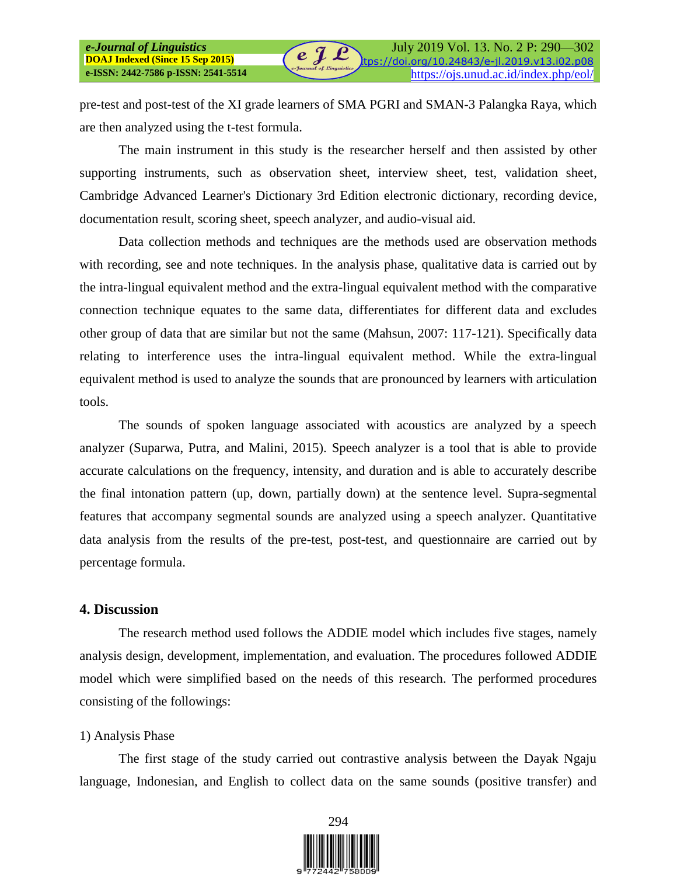pre-test and post-test of the XI grade learners of SMA PGRI and SMAN-3 Palangka Raya, which are then analyzed using the t-test formula.

 $\boldsymbol{e} \ \boldsymbol{\mathcal{J}} \ \boldsymbol{\mathcal{L}}$ 

The main instrument in this study is the researcher herself and then assisted by other supporting instruments, such as observation sheet, interview sheet, test, validation sheet, Cambridge Advanced Learner's Dictionary 3rd Edition electronic dictionary, recording device, documentation result, scoring sheet, speech analyzer, and audio-visual aid.

Data collection methods and techniques are the methods used are observation methods with recording, see and note techniques. In the analysis phase, qualitative data is carried out by the intra-lingual equivalent method and the extra-lingual equivalent method with the comparative connection technique equates to the same data, differentiates for different data and excludes other group of data that are similar but not the same (Mahsun, 2007: 117-121). Specifically data relating to interference uses the intra-lingual equivalent method. While the extra-lingual equivalent method is used to analyze the sounds that are pronounced by learners with articulation tools.

The sounds of spoken language associated with acoustics are analyzed by a speech analyzer (Suparwa, Putra, and Malini, 2015). Speech analyzer is a tool that is able to provide accurate calculations on the frequency, intensity, and duration and is able to accurately describe the final intonation pattern (up, down, partially down) at the sentence level. Supra-segmental features that accompany segmental sounds are analyzed using a speech analyzer. Quantitative data analysis from the results of the pre-test, post-test, and questionnaire are carried out by percentage formula.

#### **4. Discussion**

*e-Journal of Linguistics*  **DOAJ Indexed (Since 15 Sep 2015)**

The research method used follows the ADDIE model which includes five stages, namely analysis design, development, implementation, and evaluation. The procedures followed ADDIE model which were simplified based on the needs of this research. The performed procedures consisting of the followings:

#### 1) Analysis Phase

The first stage of the study carried out contrastive analysis between the Dayak Ngaju language, Indonesian, and English to collect data on the same sounds (positive transfer) and

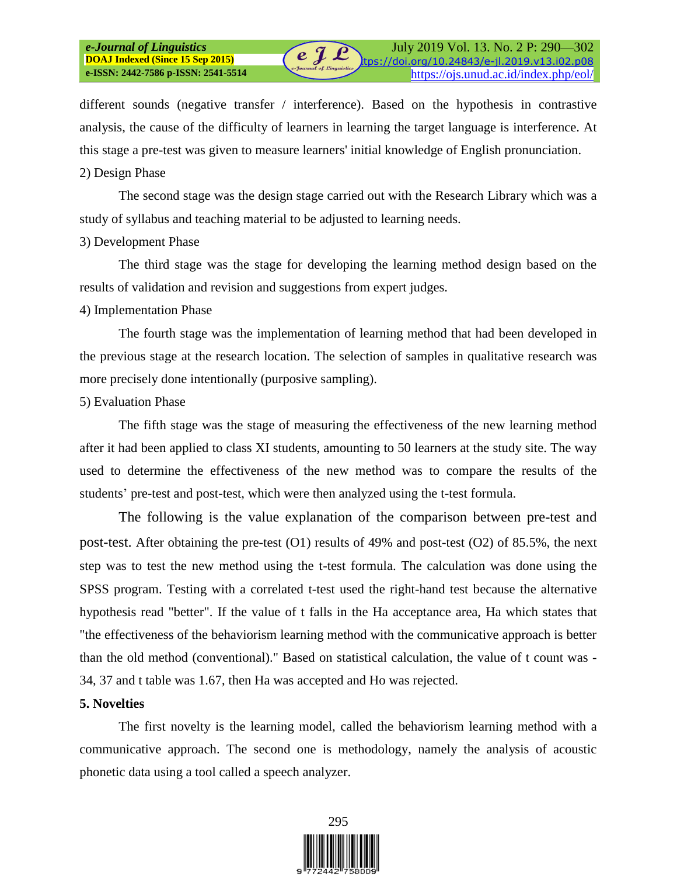different sounds (negative transfer / interference). Based on the hypothesis in contrastive analysis, the cause of the difficulty of learners in learning the target language is interference. At this stage a pre-test was given to measure learners' initial knowledge of English pronunciation.

#### 2) Design Phase

The second stage was the design stage carried out with the Research Library which was a study of syllabus and teaching material to be adjusted to learning needs.

#### 3) Development Phase

The third stage was the stage for developing the learning method design based on the results of validation and revision and suggestions from expert judges.

## 4) Implementation Phase

The fourth stage was the implementation of learning method that had been developed in the previous stage at the research location. The selection of samples in qualitative research was more precisely done intentionally (purposive sampling).

## 5) Evaluation Phase

The fifth stage was the stage of measuring the effectiveness of the new learning method after it had been applied to class XI students, amounting to 50 learners at the study site. The way used to determine the effectiveness of the new method was to compare the results of the students' pre-test and post-test, which were then analyzed using the t-test formula.

The following is the value explanation of the comparison between pre-test and post-test. After obtaining the pre-test (O1) results of 49% and post-test (O2) of 85.5%, the next step was to test the new method using the t-test formula. The calculation was done using the SPSS program. Testing with a correlated t-test used the right-hand test because the alternative hypothesis read "better". If the value of t falls in the Ha acceptance area, Ha which states that "the effectiveness of the behaviorism learning method with the communicative approach is better than the old method (conventional)." Based on statistical calculation, the value of t count was - 34, 37 and t table was 1.67, then Ha was accepted and Ho was rejected.

## **5. Novelties**

The first novelty is the learning model, called the behaviorism learning method with a communicative approach. The second one is methodology, namely the analysis of acoustic phonetic data using a tool called a speech analyzer.

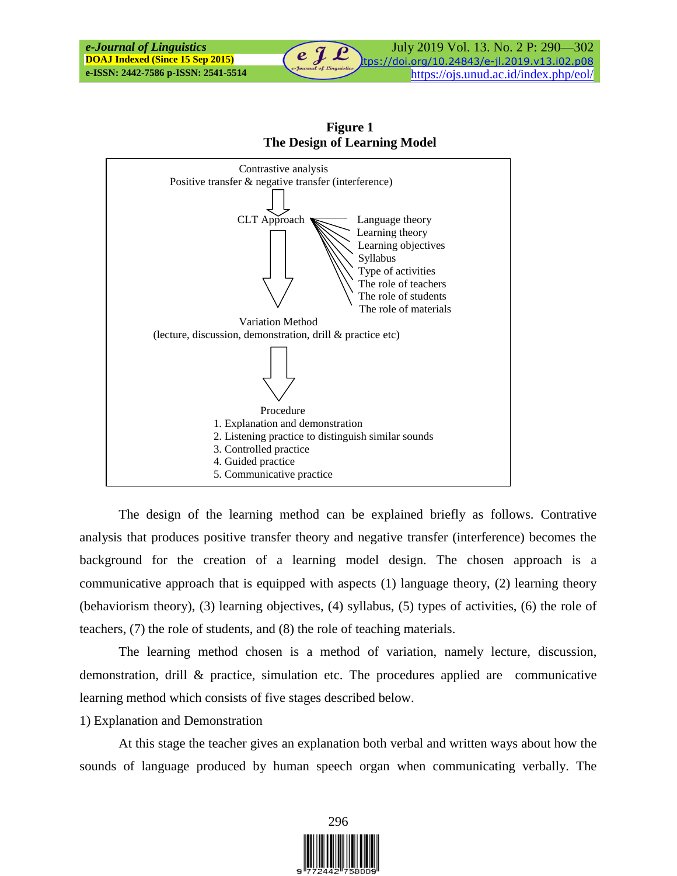

**Figure 1 The Design of Learning Model**

The design of the learning method can be explained briefly as follows. Contrative analysis that produces positive transfer theory and negative transfer (interference) becomes the background for the creation of a learning model design. The chosen approach is a communicative approach that is equipped with aspects (1) language theory, (2) learning theory (behaviorism theory), (3) learning objectives, (4) syllabus, (5) types of activities, (6) the role of teachers, (7) the role of students, and (8) the role of teaching materials.

The learning method chosen is a method of variation, namely lecture, discussion, demonstration, drill & practice, simulation etc. The procedures applied are communicative learning method which consists of five stages described below.

#### 1) Explanation and Demonstration

At this stage the teacher gives an explanation both verbal and written ways about how the sounds of language produced by human speech organ when communicating verbally. The

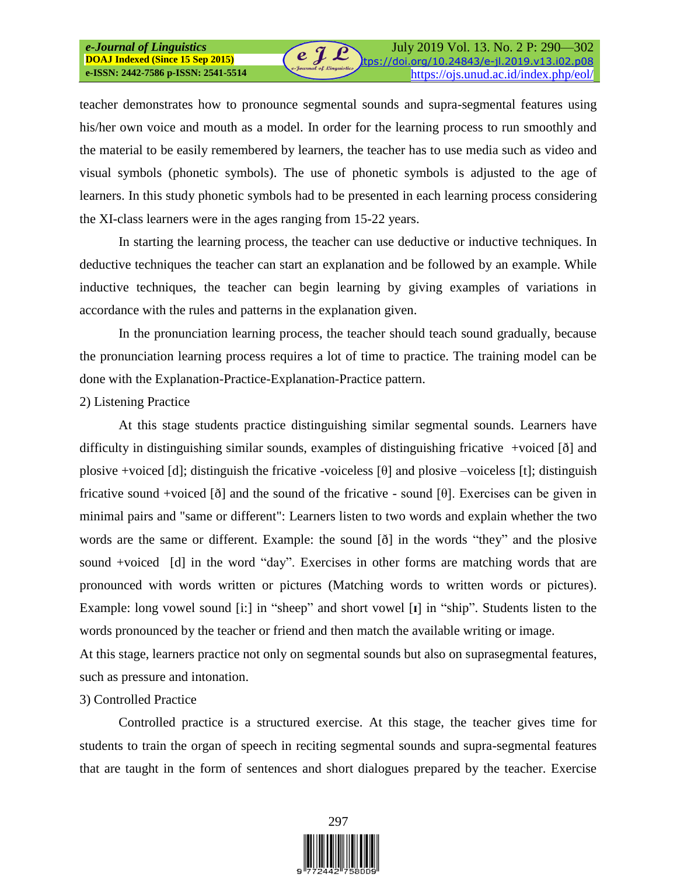teacher demonstrates how to pronounce segmental sounds and supra-segmental features using his/her own voice and mouth as a model. In order for the learning process to run smoothly and the material to be easily remembered by learners, the teacher has to use media such as video and visual symbols (phonetic symbols). The use of phonetic symbols is adjusted to the age of learners. In this study phonetic symbols had to be presented in each learning process considering the XI-class learners were in the ages ranging from 15-22 years.

 $e \mathrel{\mathcal{I}} \mathcal{L}$ 

In starting the learning process, the teacher can use deductive or inductive techniques. In deductive techniques the teacher can start an explanation and be followed by an example. While inductive techniques, the teacher can begin learning by giving examples of variations in accordance with the rules and patterns in the explanation given.

In the pronunciation learning process, the teacher should teach sound gradually, because the pronunciation learning process requires a lot of time to practice. The training model can be done with the Explanation-Practice-Explanation-Practice pattern.

#### 2) Listening Practice

*e-Journal of Linguistics*  **DOAJ Indexed (Since 15 Sep 2015)**

At this stage students practice distinguishing similar segmental sounds. Learners have difficulty in distinguishing similar sounds, examples of distinguishing fricative +voiced [ð] and plosive +voiced [d]; distinguish the fricative -voiceless [θ] and plosive -voiceless [t]; distinguish fricative sound +voiced  $\delta$  and the sound of the fricative - sound  $\delta$ . Exercises can be given in minimal pairs and "same or different": Learners listen to two words and explain whether the two words are the same or different. Example: the sound [ð] in the words "they" and the plosive sound +voiced [d] in the word "day". Exercises in other forms are matching words that are pronounced with words written or pictures (Matching words to written words or pictures). Example: long vowel sound [i:] in "sheep" and short vowel [**ɪ**] in "ship". Students listen to the words pronounced by the teacher or friend and then match the available writing or image.

At this stage, learners practice not only on segmental sounds but also on suprasegmental features, such as pressure and intonation.

## 3) Controlled Practice

Controlled practice is a structured exercise. At this stage, the teacher gives time for students to train the organ of speech in reciting segmental sounds and supra-segmental features that are taught in the form of sentences and short dialogues prepared by the teacher. Exercise

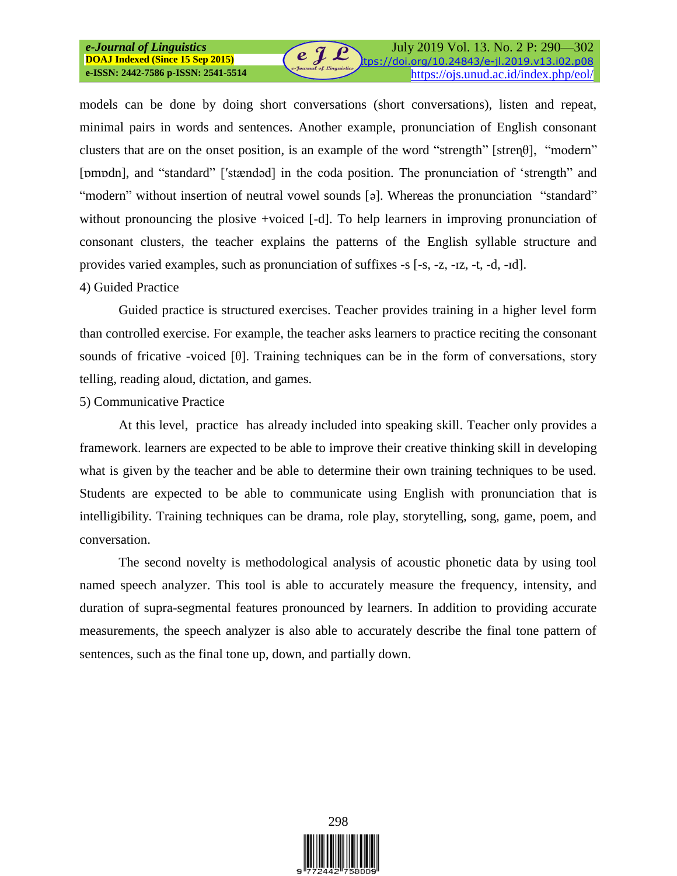models can be done by doing short conversations (short conversations), listen and repeat, minimal pairs in words and sentences. Another example, pronunciation of English consonant clusters that are on the onset position, is an example of the word "strength" [stren $\theta$ ], "modern" [pmpdn], and "standard" ['stændǝd] in the coda position. The pronunciation of 'strength' and "modern" without insertion of neutral vowel sounds [ə]. Whereas the pronunciation "standard" without pronouncing the plosive +voiced [-d]. To help learners in improving pronunciation of consonant clusters, the teacher explains the patterns of the English syllable structure and provides varied examples, such as pronunciation of suffixes -s [-s, -z, -ɪz, -t, -d, -ɪd].

 $e \nightharpoondown e$ 

#### 4) Guided Practice

Guided practice is structured exercises. Teacher provides training in a higher level form than controlled exercise. For example, the teacher asks learners to practice reciting the consonant sounds of fricative -voiced  $[\theta]$ . Training techniques can be in the form of conversations, story telling, reading aloud, dictation, and games.

#### 5) Communicative Practice

At this level, practice has already included into speaking skill. Teacher only provides a framework. learners are expected to be able to improve their creative thinking skill in developing what is given by the teacher and be able to determine their own training techniques to be used. Students are expected to be able to communicate using English with pronunciation that is intelligibility. Training techniques can be drama, role play, storytelling, song, game, poem, and conversation.

The second novelty is methodological analysis of acoustic phonetic data by using tool named speech analyzer. This tool is able to accurately measure the frequency, intensity, and duration of supra-segmental features pronounced by learners. In addition to providing accurate measurements, the speech analyzer is also able to accurately describe the final tone pattern of sentences, such as the final tone up, down, and partially down.

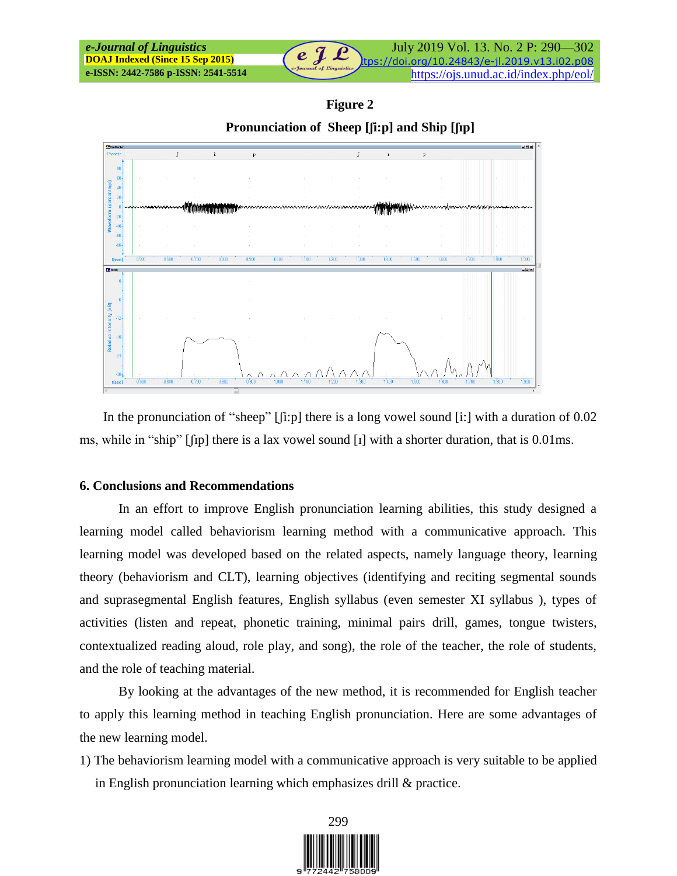| e-Journal of Linguistics                | $e^{i\theta}$            | July 2019 Vol. 13. No. 2 P: 290–302          |
|-----------------------------------------|--------------------------|----------------------------------------------|
| <b>DOAJ Indexed (Since 15 Sep 2015)</b> |                          | tps://doi.org/10.24843/e-jl.2019.v13.i02.p08 |
| e-ISSN: 2442-7586 p-ISSN: 2541-5514     | e-Journal of Linguistics | https://ojs.unud.ac.id/index.php/eol/        |

**Figure 2**

**Pronunciation of Sheep [ʃi:p] and Ship [ʃɪp]**



In the pronunciation of "sheep"  $\lceil$ [i:p] there is a long vowel sound [i:] with a duration of 0.02 ms, while in "ship" [ʃɪp] there is a lax vowel sound [ɪ] with a shorter duration, that is 0.01ms.

#### **6. Conclusions and Recommendations**

In an effort to improve English pronunciation learning abilities, this study designed a learning model called behaviorism learning method with a communicative approach. This learning model was developed based on the related aspects, namely language theory, learning theory (behaviorism and CLT), learning objectives (identifying and reciting segmental sounds and suprasegmental English features, English syllabus (even semester XI syllabus ), types of activities (listen and repeat, phonetic training, minimal pairs drill, games, tongue twisters, contextualized reading aloud, role play, and song), the role of the teacher, the role of students, and the role of teaching material.

By looking at the advantages of the new method, it is recommended for English teacher to apply this learning method in teaching English pronunciation. Here are some advantages of the new learning model.

1) The behaviorism learning model with a communicative approach is very suitable to be applied in English pronunciation learning which emphasizes drill & practice.

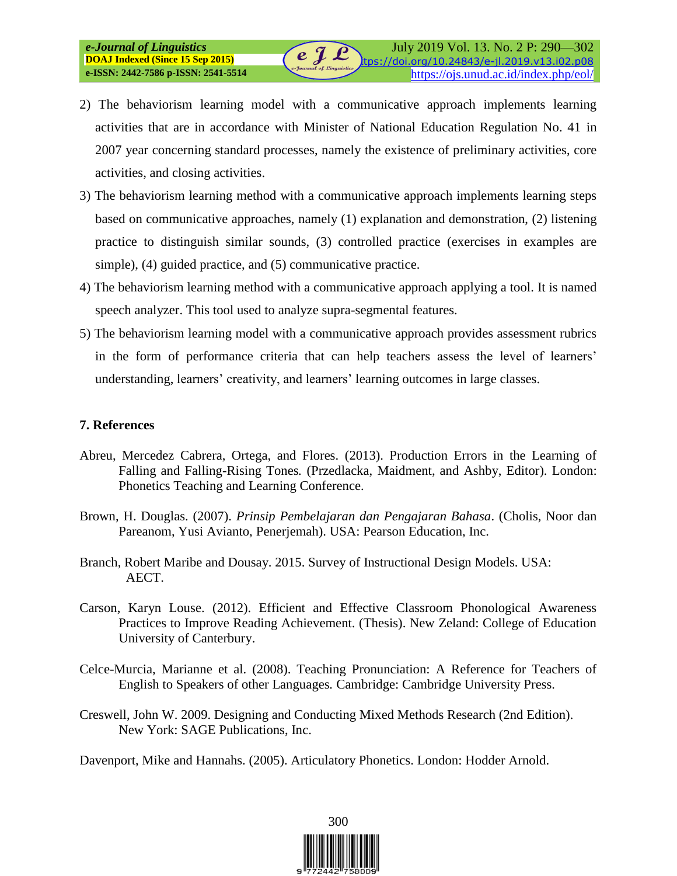2) The behaviorism learning model with a communicative approach implements learning activities that are in accordance with Minister of National Education Regulation No. 41 in 2007 year concerning standard processes, namely the existence of preliminary activities, core activities, and closing activities.

e J L

- 3) The behaviorism learning method with a communicative approach implements learning steps based on communicative approaches, namely (1) explanation and demonstration, (2) listening practice to distinguish similar sounds, (3) controlled practice (exercises in examples are simple), (4) guided practice, and (5) communicative practice.
- 4) The behaviorism learning method with a communicative approach applying a tool. It is named speech analyzer. This tool used to analyze supra-segmental features.
- 5) The behaviorism learning model with a communicative approach provides assessment rubrics in the form of performance criteria that can help teachers assess the level of learners' understanding, learners' creativity, and learners' learning outcomes in large classes.

## **7. References**

*e-Journal of Linguistics*  **DOAJ Indexed (Since 15 Sep 2015)**

- Abreu, Mercedez Cabrera, Ortega, and Flores. (2013). Production Errors in the Learning of Falling and Falling-Rising Tones*.* (Przedlacka, Maidment, and Ashby, Editor). London: Phonetics Teaching and Learning Conference.
- Brown, H. Douglas. (2007). *Prinsip Pembelajaran dan Pengajaran Bahasa*. (Cholis, Noor dan Pareanom, Yusi Avianto, Penerjemah). USA: Pearson Education, Inc.
- Branch, Robert Maribe and Dousay. 2015. Survey of Instructional Design Models. USA: AECT.
- Carson, Karyn Louse. (2012). Efficient and Effective Classroom Phonological Awareness Practices to Improve Reading Achievement. (Thesis). New Zeland: College of Education University of Canterbury.
- Celce-Murcia, Marianne et al. (2008). Teaching Pronunciation: A Reference for Teachers of English to Speakers of other Languages*.* Cambridge: Cambridge University Press.
- Creswell, John W. 2009. Designing and Conducting Mixed Methods Research (2nd Edition)*.* New York: SAGE Publications, Inc.
- Davenport, Mike and Hannahs. (2005). Articulatory Phonetics. London: Hodder Arnold.

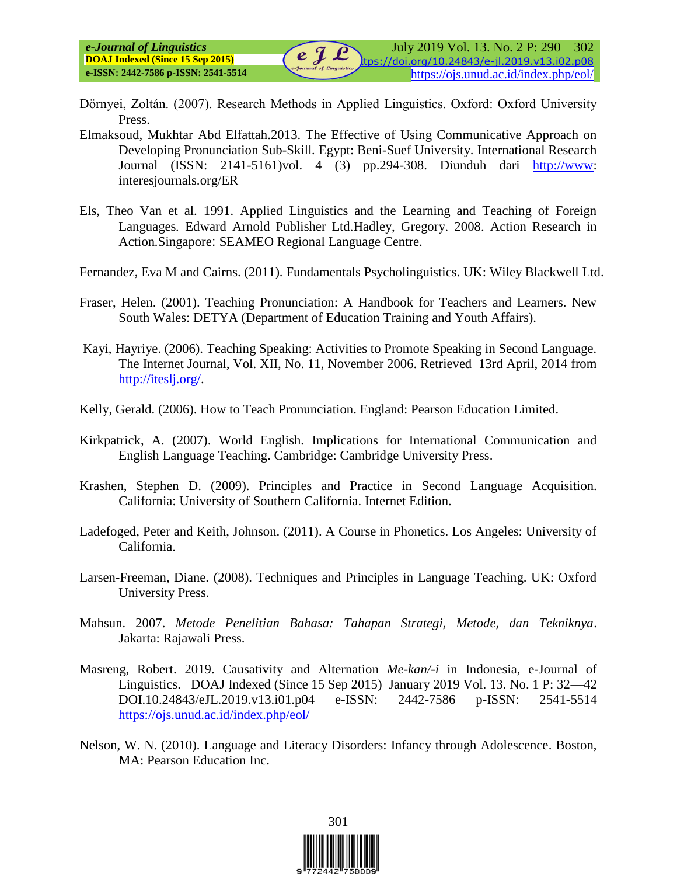- Dӧrnyei, Zoltán. (2007). Research Methods in Applied Linguistics. Oxford: Oxford University Press.
- Elmaksoud, Mukhtar Abd Elfattah.2013. The Effective of Using Communicative Approach on Developing Pronunciation Sub-Skill*.* Egypt: Beni-Suef University. International Research Journal (ISSN: 2141-5161)vol. 4 (3) pp.294-308. Diunduh dari [http://www:](http://www/) interesjournals.org/ER
- Els, Theo Van et al. 1991. Applied Linguistics and the Learning and Teaching of Foreign Languages*.* Edward Arnold Publisher Ltd.Hadley, Gregory. 2008. Action Research in Action*.*Singapore: SEAMEO Regional Language Centre.
- Fernandez, Eva M and Cairns. (2011). Fundamentals Psycholinguistics. UK: Wiley Blackwell Ltd.
- Fraser, Helen. (2001). Teaching Pronunciation: A Handbook for Teachers and Learners. New South Wales: DETYA (Department of Education Training and Youth Affairs).
- Kayi, Hayriye. (2006). Teaching Speaking: Activities to Promote Speaking in Second Language*.* The Internet Journal, Vol. XII, No. 11, November 2006. Retrieved 13rd April, 2014 from [http://iteslj.org/.](http://iteslj.org/)
- Kelly, Gerald. (2006). How to Teach Pronunciation. England: Pearson Education Limited.
- Kirkpatrick, A. (2007). World English. Implications for International Communication and English Language Teaching. Cambridge: Cambridge University Press.
- Krashen, Stephen D. (2009). Principles and Practice in Second Language Acquisition. California: University of Southern California. Internet Edition.
- Ladefoged, Peter and Keith, Johnson. (2011). A Course in Phonetics. Los Angeles: University of California.
- Larsen-Freeman, Diane. (2008). Techniques and Principles in Language Teaching. UK: Oxford University Press.
- Mahsun. 2007. *Metode Penelitian Bahasa: Tahapan Strategi, Metode, dan Tekniknya*. Jakarta: Rajawali Press.
- Masreng, Robert. 2019. Causativity and Alternation *Me-kan/-i* in Indonesia, e-Journal of Linguistics. DOAJ Indexed (Since 15 Sep 2015) January 2019 Vol. 13. No. 1 P: 32—42 DOI.10.24843/eJL.2019.v13.i01.p04 e-ISSN: 2442-7586 p-ISSN: 2541-5514 <https://ojs.unud.ac.id/index.php/eol/>
- Nelson, W. N. (2010). Language and Literacy Disorders: Infancy through Adolescence. Boston, MA: Pearson Education Inc.